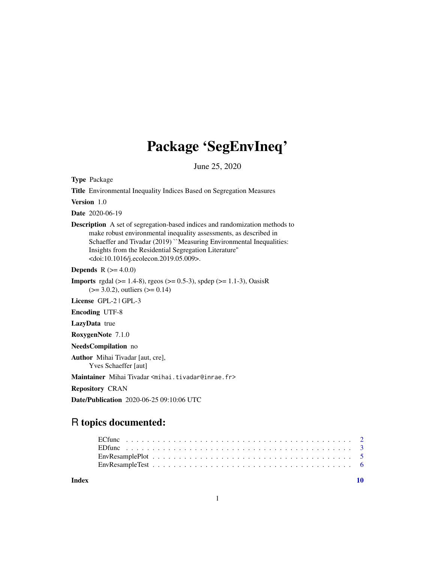## Package 'SegEnvIneq'

June 25, 2020

Type Package

Title Environmental Inequality Indices Based on Segregation Measures

Version 1.0

Date 2020-06-19

Description A set of segregation-based indices and randomization methods to make robust environmental inequality assessments, as described in Schaeffer and Tivadar (2019) "Measuring Environmental Inequalities: Insights from the Residential Segregation Literature'' <doi:10.1016/j.ecolecon.2019.05.009>.

**Depends** R  $(>= 4.0.0)$ 

**Imports** rgdal ( $>= 1.4-8$ ), rgeos ( $>= 0.5-3$ ), spdep ( $>= 1.1-3$ ), OasisR  $(>= 3.0.2)$ , outliers  $(>= 0.14)$ 

License GPL-2 | GPL-3

Encoding UTF-8

LazyData true

RoxygenNote 7.1.0

NeedsCompilation no

Author Mihai Tivadar [aut, cre], Yves Schaeffer [aut]

Maintainer Mihai Tivadar <mihai.tivadar@inrae.fr>

Repository CRAN

Date/Publication 2020-06-25 09:10:06 UTC

### R topics documented:

#### $\blacksquare$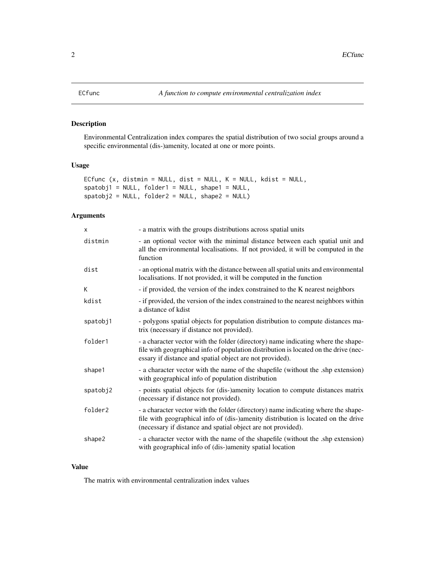#### Description

Environmental Centralization index compares the spatial distribution of two social groups around a specific environmental (dis-)amenity, located at one or more points.

#### Usage

```
ECfunc (x, distmin = NULL, dist = NULL, K = NULL, kdist = NULL,
spatobj1 = NULL, folder1 = NULL, shape1 = NULL,
spatobj2 = NULL, folder2 = NULL, shape2 = NULL)
```
#### Arguments

| $\mathsf{x}$ | - a matrix with the groups distributions across spatial units                                                                                                                                                                          |
|--------------|----------------------------------------------------------------------------------------------------------------------------------------------------------------------------------------------------------------------------------------|
| distmin      | - an optional vector with the minimal distance between each spatial unit and<br>all the environmental localisations. If not provided, it will be computed in the<br>function                                                           |
| dist         | - an optional matrix with the distance between all spatial units and environmental<br>localisations. If not provided, it will be computed in the function                                                                              |
| K            | - if provided, the version of the index constrained to the K nearest neighbors                                                                                                                                                         |
| kdist        | - if provided, the version of the index constrained to the nearest neighbors within<br>a distance of kdist                                                                                                                             |
| spatobj1     | - polygons spatial objects for population distribution to compute distances ma-<br>trix (necessary if distance not provided).                                                                                                          |
| folder1      | - a character vector with the folder (directory) name indicating where the shape-<br>file with geographical info of population distribution is located on the drive (nec-<br>essary if distance and spatial object are not provided).  |
| shape1       | - a character vector with the name of the shapefile (without the shp extension)<br>with geographical info of population distribution                                                                                                   |
| spatobj2     | - points spatial objects for (dis-)amenity location to compute distances matrix<br>(necessary if distance not provided).                                                                                                               |
| folder2      | - a character vector with the folder (directory) name indicating where the shape-<br>file with geographical info of (dis-)amenity distribution is located on the drive<br>(necessary if distance and spatial object are not provided). |
| shape2       | - a character vector with the name of the shapefile (without the shp extension)<br>with geographical info of (dis-)amenity spatial location                                                                                            |

#### Value

The matrix with environmental centralization index values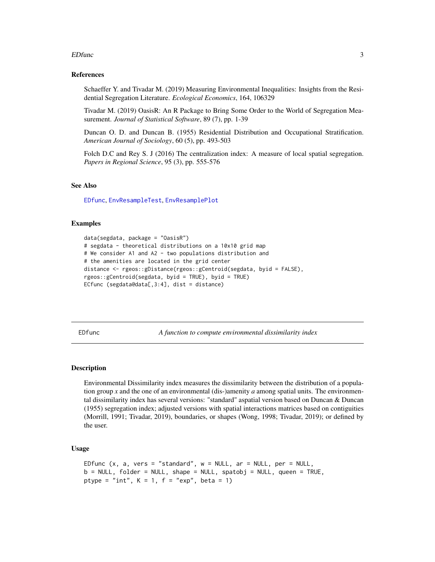#### <span id="page-2-0"></span> $EDfunc$  3

#### References

Schaeffer Y. and Tivadar M. (2019) Measuring Environmental Inequalities: Insights from the Residential Segregation Literature. *Ecological Economics*, 164, 106329

Tivadar M. (2019) OasisR: An R Package to Bring Some Order to the World of Segregation Measurement. *Journal of Statistical Software*, 89 (7), pp. 1-39

Duncan O. D. and Duncan B. (1955) Residential Distribution and Occupational Stratification. *American Journal of Sociology*, 60 (5), pp. 493-503

Folch D.C and Rey S. J (2016) The centralization index: A measure of local spatial segregation. *Papers in Regional Science*, 95 (3), pp. 555-576

#### See Also

[EDfunc](#page-2-1), [EnvResampleTest](#page-5-1), [EnvResamplePlot](#page-4-1)

#### Examples

```
data(segdata, package = "OasisR")
# segdata - theoretical distributions on a 10x10 grid map
# We consider A1 and A2 - two populations distribution and
# the amenities are located in the grid center
distance <- rgeos::gDistance(rgeos::gCentroid(segdata, byid = FALSE),
rgeos::gCentroid(segdata, byid = TRUE), byid = TRUE)
ECfunc (segdata@data[,3:4], dist = distance)
```
<span id="page-2-1"></span>EDfunc *A function to compute environmental dissimilarity index*

#### **Description**

Environmental Dissimilarity index measures the dissimilarity between the distribution of a population group *x* and the one of an environmental (dis-)amenity *a* among spatial units. The environmental dissimilarity index has several versions: "standard" aspatial version based on Duncan & Duncan (1955) segregation index; adjusted versions with spatial interactions matrices based on contiguities (Morrill, 1991; Tivadar, 2019), boundaries, or shapes (Wong, 1998; Tivadar, 2019); or defined by the user.

#### Usage

```
EDfunc (x, a, \text{vers} = "standard", w = NULL, ar = NULL, per = NULL,b = NULL, folder = NULL, shape = NULL, spatobj = NULL, queen = TRUE,
ptype = "int", K = 1, f = "exp", beta = 1)
```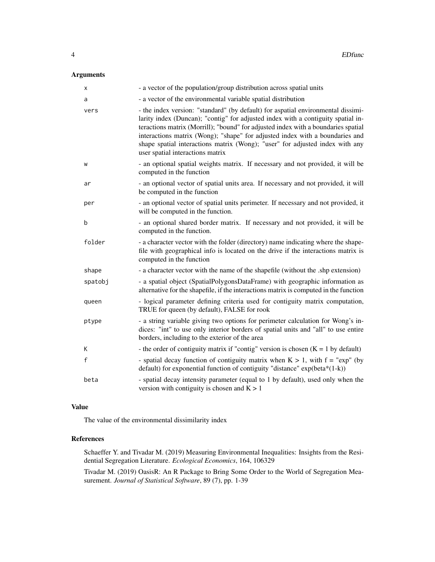#### Arguments

| х            | - a vector of the population/group distribution across spatial units                                                                                                                                                                                                                                                                                                                                                                                          |
|--------------|---------------------------------------------------------------------------------------------------------------------------------------------------------------------------------------------------------------------------------------------------------------------------------------------------------------------------------------------------------------------------------------------------------------------------------------------------------------|
| a            | - a vector of the environmental variable spatial distribution                                                                                                                                                                                                                                                                                                                                                                                                 |
| vers         | - the index version: "standard" (by default) for aspatial environmental dissimi-<br>larity index (Duncan); "contig" for adjusted index with a contiguity spatial in-<br>teractions matrix (Morrill); "bound" for adjusted index with a boundaries spatial<br>interactions matrix (Wong); "shape" for adjusted index with a boundaries and<br>shape spatial interactions matrix (Wong); "user" for adjusted index with any<br>user spatial interactions matrix |
| W            | - an optional spatial weights matrix. If necessary and not provided, it will be<br>computed in the function                                                                                                                                                                                                                                                                                                                                                   |
| ar           | - an optional vector of spatial units area. If necessary and not provided, it will<br>be computed in the function                                                                                                                                                                                                                                                                                                                                             |
| per          | - an optional vector of spatial units perimeter. If necessary and not provided, it<br>will be computed in the function.                                                                                                                                                                                                                                                                                                                                       |
| b            | - an optional shared border matrix. If necessary and not provided, it will be<br>computed in the function.                                                                                                                                                                                                                                                                                                                                                    |
| folder       | - a character vector with the folder (directory) name indicating where the shape-<br>file with geographical info is located on the drive if the interactions matrix is<br>computed in the function                                                                                                                                                                                                                                                            |
| shape        | - a character vector with the name of the shapefile (without the .shp extension)                                                                                                                                                                                                                                                                                                                                                                              |
| spatobj      | - a spatial object (SpatialPolygonsDataFrame) with geographic information as<br>alternative for the shapefile, if the interactions matrix is computed in the function                                                                                                                                                                                                                                                                                         |
| queen        | - logical parameter defining criteria used for contiguity matrix computation,<br>TRUE for queen (by default), FALSE for rook                                                                                                                                                                                                                                                                                                                                  |
| ptype        | - a string variable giving two options for perimeter calculation for Wong's in-<br>dices: "int" to use only interior borders of spatial units and "all" to use entire<br>borders, including to the exterior of the area                                                                                                                                                                                                                                       |
| K            | - the order of contiguity matrix if "contig" version is chosen $(K = 1$ by default)                                                                                                                                                                                                                                                                                                                                                                           |
| $\mathsf{f}$ | - spatial decay function of contiguity matrix when $K > 1$ , with $f = "exp"$ (by<br>default) for exponential function of contiguity "distance" $exp(beta*(1-k))$                                                                                                                                                                                                                                                                                             |
| beta         | - spatial decay intensity parameter (equal to 1 by default), used only when the<br>version with contiguity is chosen and $K > 1$                                                                                                                                                                                                                                                                                                                              |

#### Value

The value of the environmental dissimilarity index

#### References

Schaeffer Y. and Tivadar M. (2019) Measuring Environmental Inequalities: Insights from the Residential Segregation Literature. *Ecological Economics*, 164, 106329

Tivadar M. (2019) OasisR: An R Package to Bring Some Order to the World of Segregation Measurement. *Journal of Statistical Software*, 89 (7), pp. 1-39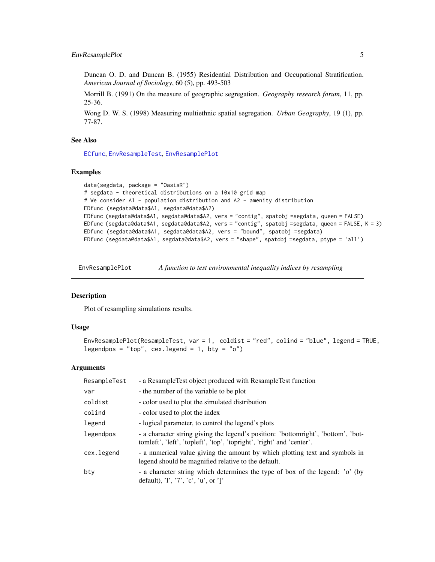#### <span id="page-4-0"></span>EnvResamplePlot 5

Duncan O. D. and Duncan B. (1955) Residential Distribution and Occupational Stratification. *American Journal of Sociology*, 60 (5), pp. 493-503

Morrill B. (1991) On the measure of geographic segregation. *Geography research forum*, 11, pp. 25-36.

Wong D. W. S. (1998) Measuring multiethnic spatial segregation. *Urban Geography*, 19 (1), pp. 77-87.

#### See Also

[ECfunc](#page-1-1), [EnvResampleTest](#page-5-1), [EnvResamplePlot](#page-4-1)

#### Examples

```
data(segdata, package = "OasisR")
# segdata - theoretical distributions on a 10x10 grid map
# We consider A1 - population distribution and A2 - amenity distribution
EDfunc (segdata@data$A1, segdata@data$A2)
EDfunc (segdata@data$A1, segdata@data$A2, vers = "contig", spatobj =segdata, queen = FALSE)
EDfunc (segdata@data$A1, segdata@data$A2, vers = "contig", spatobj =segdata, queen = FALSE, K = 3)
EDfunc (segdata@data$A1, segdata@data$A2, vers = "bound", spatobj =segdata)
EDfunc (segdata@data$A1, segdata@data$A2, vers = "shape", spatobj =segdata, ptype = 'all')
```
<span id="page-4-1"></span>EnvResamplePlot *A function to test environmental inequality indices by resampling*

#### Description

Plot of resampling simulations results.

#### Usage

```
EnvResamplePlot(ResampleTest, var = 1, coldist = "red", colind = "blue", legend = TRUE,
legendpos = "top", cex.legend = 1, bty = "o")
```
#### Arguments

| ResampleTest | - a ResampleTest object produced with ResampleTest function                                                                                                       |
|--------------|-------------------------------------------------------------------------------------------------------------------------------------------------------------------|
| var          | - the number of the variable to be plot                                                                                                                           |
| coldist      | - color used to plot the simulated distribution                                                                                                                   |
| colind       | - color used to plot the index                                                                                                                                    |
| legend       | - logical parameter, to control the legend's plots                                                                                                                |
| legendpos    | - a character string giving the legend's position: 'bottomright', 'bottom', 'bot-<br>tomleft', 'left', 'topleft', 'top', 'topright', 'right' and 'center'.        |
| cex.legend   | - a numerical value giving the amount by which plotting text and symbols in<br>legend should be magnified relative to the default.                                |
| bty          | - a character string which determines the type of box of the legend: 'o' (by<br>default), $\langle 1', \langle 7', \langle c', \langle u \rangle \rangle \rangle$ |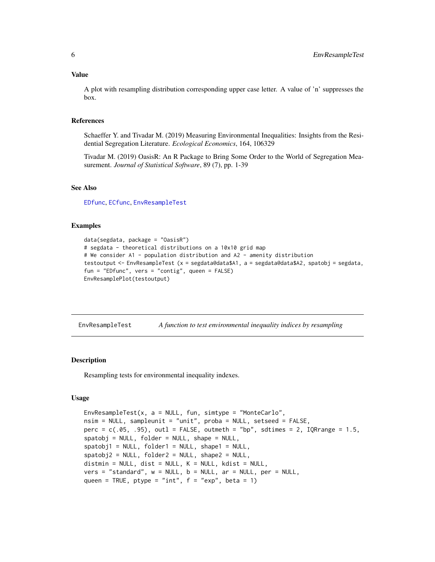#### <span id="page-5-0"></span>Value

A plot with resampling distribution corresponding upper case letter. A value of 'n' suppresses the box.

#### References

Schaeffer Y. and Tivadar M. (2019) Measuring Environmental Inequalities: Insights from the Residential Segregation Literature. *Ecological Economics*, 164, 106329

Tivadar M. (2019) OasisR: An R Package to Bring Some Order to the World of Segregation Measurement. *Journal of Statistical Software*, 89 (7), pp. 1-39

#### See Also

[EDfunc](#page-2-1), [ECfunc](#page-1-1), [EnvResampleTest](#page-5-1)

#### Examples

```
data(segdata, package = "OasisR")
# segdata - theoretical distributions on a 10x10 grid map
# We consider A1 - population distribution and A2 - amenity distribution
testoutput <- EnvResampleTest (x = segdata@data$A1, a = segdata@data$A2, spatobj = segdata,
fun = "EDfunc", vers = "contig", queen = FALSE)
EnvResamplePlot(testoutput)
```
<span id="page-5-1"></span>EnvResampleTest *A function to test environmental inequality indices by resampling*

#### **Description**

Resampling tests for environmental inequality indexes.

#### Usage

```
EnvResampleTest(x, a = NULL, fun, simtype = "MonteCarlo",
nsim = NULL, sampleunit = "unit", proba = NULL, setseed = FALSE,
perc = c(.05, .95), outl = FALSE, outmeth = "bp", sdtimes = 2, IQRrange = 1.5,
spatobi = NULL, folder = NULL, shape = NULL,spatobj1 = NULL, folder1 = NULL, shape1 = NULL,spatobi2 = NULL, folder2 = NULL, shape2 = NULL,distmin = NULL, dist = NULL, K = NULL, kdist = NULL,
vers = "standard", w = NULL, b = NULL, ar = NULL, per = NULL,queen = TRUE, ptype = "int", f = "exp", beta = 1)
```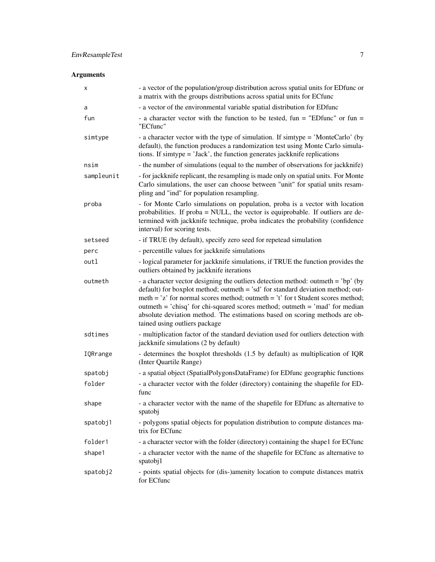#### Arguments

| х          | - a vector of the population/group distribution across spatial units for EDfunc or<br>a matrix with the groups distributions across spatial units for ECfunc                                                                                                                                                                                                                                                                                              |
|------------|-----------------------------------------------------------------------------------------------------------------------------------------------------------------------------------------------------------------------------------------------------------------------------------------------------------------------------------------------------------------------------------------------------------------------------------------------------------|
| a          | - a vector of the environmental variable spatial distribution for EDfunc                                                                                                                                                                                                                                                                                                                                                                                  |
| fun        | - a character vector with the function to be tested, fun = "EDfunc" or fun =<br>"ECfunc"                                                                                                                                                                                                                                                                                                                                                                  |
| simtype    | - a character vector with the type of simulation. If simtype = 'MonteCarlo' (by<br>default), the function produces a randomization test using Monte Carlo simula-<br>tions. If simtype = 'Jack', the function generates jackknife replications                                                                                                                                                                                                            |
| nsim       | - the number of simulations (equal to the number of observations for jackknife)                                                                                                                                                                                                                                                                                                                                                                           |
| sampleunit | - for jackknife replicant, the resampling is made only on spatial units. For Monte<br>Carlo simulations, the user can choose between "unit" for spatial units resam-<br>pling and "ind" for population resampling.                                                                                                                                                                                                                                        |
| proba      | - for Monte Carlo simulations on population, proba is a vector with location<br>probabilities. If proba = NULL, the vector is equiprobable. If outliers are de-<br>termined with jackknife technique, proba indicates the probability (confidence<br>interval) for scoring tests.                                                                                                                                                                         |
| setseed    | - if TRUE (by default), specify zero seed for repetead simulation                                                                                                                                                                                                                                                                                                                                                                                         |
| perc       | - percentille values for jackknife simulations                                                                                                                                                                                                                                                                                                                                                                                                            |
| outl       | - logical parameter for jackknife simulations, if TRUE the function provides the<br>outliers obtained by jackknife iterations                                                                                                                                                                                                                                                                                                                             |
| outmeth    | - a character vector designing the outliers detection method: outmeth = $'bp'$ (by<br>default) for boxplot method; outmeth = 'sd' for standard deviation method; out-<br>meth = $z'$ for normal scores method; outmeth = $t'$ for t Student scores method;<br>outmeth = 'chisq' for chi-squared scores method; outmeth = 'mad' for median<br>absolute deviation method. The estimations based on scoring methods are ob-<br>tained using outliers package |
| sdtimes    | - multiplication factor of the standard deviation used for outliers detection with<br>jackknife simulations (2 by default)                                                                                                                                                                                                                                                                                                                                |
| IQRrange   | - determines the boxplot thresholds (1.5 by default) as multiplication of IQR<br>(Inter Quartile Range)                                                                                                                                                                                                                                                                                                                                                   |
| spatobj    | - a spatial object (SpatialPolygonsDataFrame) for EDfunc geographic functions                                                                                                                                                                                                                                                                                                                                                                             |
| folder     | - a character vector with the folder (directory) containing the shapefile for ED-<br>func                                                                                                                                                                                                                                                                                                                                                                 |
| shape      | - a character vector with the name of the shapefile for EDfunc as alternative to<br>spatobj                                                                                                                                                                                                                                                                                                                                                               |
| spatobj1   | - polygons spatial objects for population distribution to compute distances ma-<br>trix for ECfunc                                                                                                                                                                                                                                                                                                                                                        |
| folder1    | - a character vector with the folder (directory) containing the shape1 for ECfunc                                                                                                                                                                                                                                                                                                                                                                         |
| shape1     | - a character vector with the name of the shapefile for ECfunc as alternative to<br>spatobj1                                                                                                                                                                                                                                                                                                                                                              |
| spatobj2   | - points spatial objects for (dis-)amenity location to compute distances matrix<br>for ECfunc                                                                                                                                                                                                                                                                                                                                                             |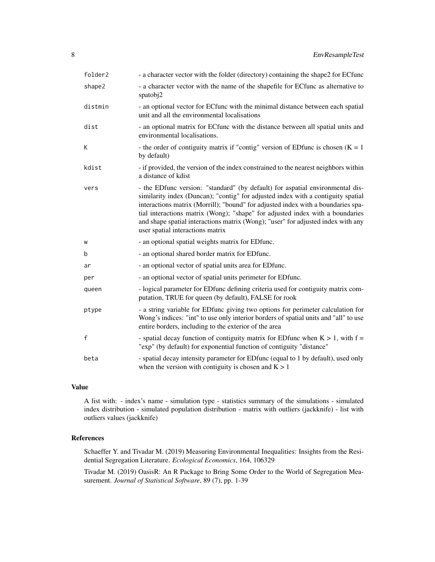| folder2      | - a character vector with the folder (directory) containing the shape2 for ECfunc                                                                                                                                                                                                                                                                                                                                                                              |
|--------------|----------------------------------------------------------------------------------------------------------------------------------------------------------------------------------------------------------------------------------------------------------------------------------------------------------------------------------------------------------------------------------------------------------------------------------------------------------------|
| shape2       | - a character vector with the name of the shapefile for ECfunc as alternative to<br>spatob <sub>i</sub> 2                                                                                                                                                                                                                                                                                                                                                      |
| distmin      | - an optional vector for ECfunc with the minimal distance between each spatial<br>unit and all the environmental localisations                                                                                                                                                                                                                                                                                                                                 |
| dist         | - an optional matrix for ECfunc with the distance between all spatial units and<br>environmental localisations.                                                                                                                                                                                                                                                                                                                                                |
| K            | - the order of contiguity matrix if "contig" version of EDfunc is chosen $(K = 1)$<br>by default)                                                                                                                                                                                                                                                                                                                                                              |
| kdist        | - if provided, the version of the index constrained to the nearest neighbors within<br>a distance of kdist                                                                                                                                                                                                                                                                                                                                                     |
| vers         | - the EDfunc version: "standard" (by default) for aspatial environmental dis-<br>similarity index (Duncan); "contig" for adjusted index with a contiguity spatial<br>interactions matrix (Morrill); "bound" for adjusted index with a boundaries spa-<br>tial interactions matrix (Wong); "shape" for adjusted index with a boundaries<br>and shape spatial interactions matrix (Wong); "user" for adjusted index with any<br>user spatial interactions matrix |
| W            | - an optional spatial weights matrix for EDfunc.                                                                                                                                                                                                                                                                                                                                                                                                               |
| b            | - an optional shared border matrix for EDfunc.                                                                                                                                                                                                                                                                                                                                                                                                                 |
| ar           | - an optional vector of spatial units area for EDfunc.                                                                                                                                                                                                                                                                                                                                                                                                         |
| per          | - an optional vector of spatial units perimeter for EDfunc.                                                                                                                                                                                                                                                                                                                                                                                                    |
| queen        | - logical parameter for ED func defining criteria used for contiguity matrix com-<br>putation, TRUE for queen (by default), FALSE for rook                                                                                                                                                                                                                                                                                                                     |
| ptype        | - a string variable for EDfunc giving two options for perimeter calculation for<br>Wong's indices: "int" to use only interior borders of spatial units and "all" to use<br>entire borders, including to the exterior of the area                                                                                                                                                                                                                               |
| $\mathsf{f}$ | - spatial decay function of contiguity matrix for EDfunc when $K > 1$ , with $f =$<br>"exp" (by default) for exponential function of contiguity "distance"                                                                                                                                                                                                                                                                                                     |
| beta         | - spatial decay intensity parameter for EDfunc (equal to 1 by default), used only<br>when the version with contiguity is chosen and $K > 1$                                                                                                                                                                                                                                                                                                                    |

#### Value

A list with: - index's name - simulation type - statistics summary of the simulations - simulated index distribution - simulated population distribution - matrix with outliers (jackknife) - list with outliers values (jackknife)

#### References

Schaeffer Y. and Tivadar M. (2019) Measuring Environmental Inequalities: Insights from the Residential Segregation Literature. *Ecological Economics*, 164, 106329

Tivadar M. (2019) OasisR: An R Package to Bring Some Order to the World of Segregation Measurement. *Journal of Statistical Software*, 89 (7), pp. 1-39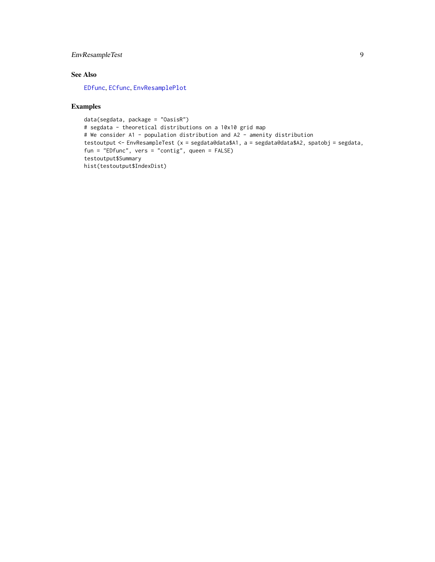#### <span id="page-8-0"></span>EnvResampleTest 9

#### See Also

[EDfunc](#page-2-1), [ECfunc](#page-1-1), [EnvResamplePlot](#page-4-1)

#### Examples

```
data(segdata, package = "OasisR")
# segdata - theoretical distributions on a 10x10 grid map
# We consider A1 - population distribution and A2 - amenity distribution
testoutput <- EnvResampleTest (x = segdata@data$A1, a = segdata@data$A2, spatobj = segdata,
fun = "EDfunc", vers = "contig", queen = FALSE)
testoutput$Summary
hist(testoutput$IndexDist)
```